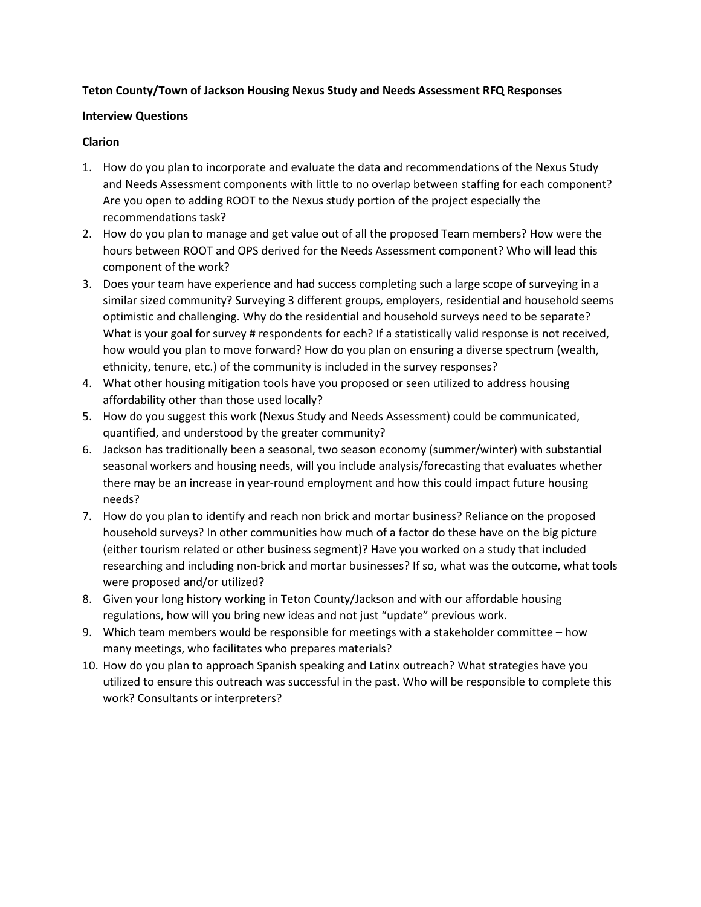#### **Teton County/Town of Jackson Housing Nexus Study and Needs Assessment RFQ Responses**

#### **Interview Questions**

#### **Clarion**

- 1. How do you plan to incorporate and evaluate the data and recommendations of the Nexus Study and Needs Assessment components with little to no overlap between staffing for each component? Are you open to adding ROOT to the Nexus study portion of the project especially the recommendations task?
- 2. How do you plan to manage and get value out of all the proposed Team members? How were the hours between ROOT and OPS derived for the Needs Assessment component? Who will lead this component of the work?
- 3. Does your team have experience and had success completing such a large scope of surveying in a similar sized community? Surveying 3 different groups, employers, residential and household seems optimistic and challenging. Why do the residential and household surveys need to be separate? What is your goal for survey # respondents for each? If a statistically valid response is not received, how would you plan to move forward? How do you plan on ensuring a diverse spectrum (wealth, ethnicity, tenure, etc.) of the community is included in the survey responses?
- 4. What other housing mitigation tools have you proposed or seen utilized to address housing affordability other than those used locally?
- 5. How do you suggest this work (Nexus Study and Needs Assessment) could be communicated, quantified, and understood by the greater community?
- 6. Jackson has traditionally been a seasonal, two season economy (summer/winter) with substantial seasonal workers and housing needs, will you include analysis/forecasting that evaluates whether there may be an increase in year-round employment and how this could impact future housing needs?
- 7. How do you plan to identify and reach non brick and mortar business? Reliance on the proposed household surveys? In other communities how much of a factor do these have on the big picture (either tourism related or other business segment)? Have you worked on a study that included researching and including non-brick and mortar businesses? If so, what was the outcome, what tools were proposed and/or utilized?
- 8. Given your long history working in Teton County/Jackson and with our affordable housing regulations, how will you bring new ideas and not just "update" previous work.
- 9. Which team members would be responsible for meetings with a stakeholder committee how many meetings, who facilitates who prepares materials?
- 10. How do you plan to approach Spanish speaking and Latinx outreach? What strategies have you utilized to ensure this outreach was successful in the past. Who will be responsible to complete this work? Consultants or interpreters?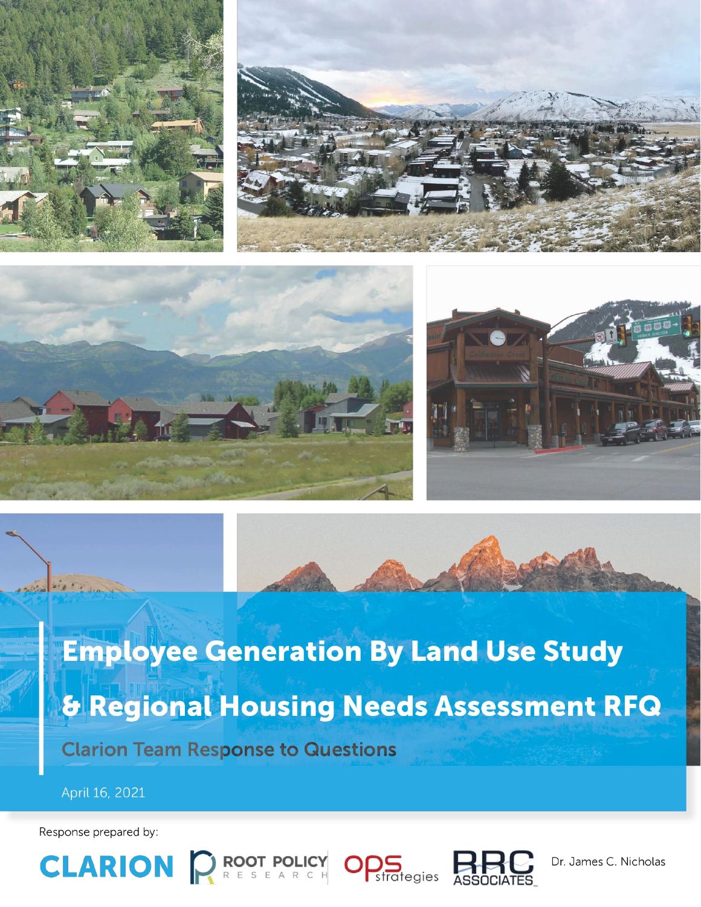





**Employee Generation By Land Use Study & Regional Housing Needs Assessment RFQ Clarion Team Response to Questions** 

April 16, 2021

Response prepared by:







Dr. James C. Nicholas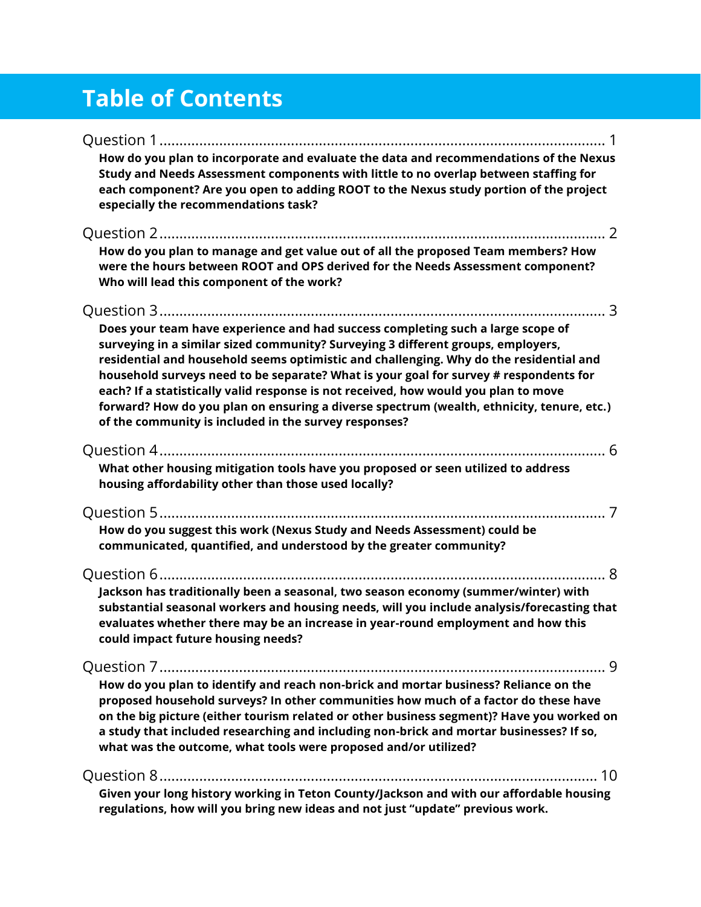# **Table of Contents**

| How do you plan to incorporate and evaluate the data and recommendations of the Nexus<br>Study and Needs Assessment components with little to no overlap between staffing for<br>each component? Are you open to adding ROOT to the Nexus study portion of the project<br>especially the recommendations task?                                                                                                                                                                                                                                                                                      |
|-----------------------------------------------------------------------------------------------------------------------------------------------------------------------------------------------------------------------------------------------------------------------------------------------------------------------------------------------------------------------------------------------------------------------------------------------------------------------------------------------------------------------------------------------------------------------------------------------------|
| How do you plan to manage and get value out of all the proposed Team members? How<br>were the hours between ROOT and OPS derived for the Needs Assessment component?<br>Who will lead this component of the work?                                                                                                                                                                                                                                                                                                                                                                                   |
| Does your team have experience and had success completing such a large scope of<br>surveying in a similar sized community? Surveying 3 different groups, employers,<br>residential and household seems optimistic and challenging. Why do the residential and<br>household surveys need to be separate? What is your goal for survey # respondents for<br>each? If a statistically valid response is not received, how would you plan to move<br>forward? How do you plan on ensuring a diverse spectrum (wealth, ethnicity, tenure, etc.)<br>of the community is included in the survey responses? |
| What other housing mitigation tools have you proposed or seen utilized to address<br>housing affordability other than those used locally?                                                                                                                                                                                                                                                                                                                                                                                                                                                           |
| How do you suggest this work (Nexus Study and Needs Assessment) could be<br>communicated, quantified, and understood by the greater community?                                                                                                                                                                                                                                                                                                                                                                                                                                                      |
| Jackson has traditionally been a seasonal, two season economy (summer/winter) with<br>substantial seasonal workers and housing needs, will you include analysis/forecasting that<br>evaluates whether there may be an increase in year-round employment and how this<br>could impact future housing needs?                                                                                                                                                                                                                                                                                          |
| -9<br>How do you plan to identify and reach non-brick and mortar business? Reliance on the<br>proposed household surveys? In other communities how much of a factor do these have<br>on the big picture (either tourism related or other business segment)? Have you worked on<br>a study that included researching and including non-brick and mortar businesses? If so,<br>what was the outcome, what tools were proposed and/or utilized?                                                                                                                                                        |
| Given your long history working in Teton County/Jackson and with our affordable housing<br>regulations, how will you bring new ideas and not just "update" previous work.                                                                                                                                                                                                                                                                                                                                                                                                                           |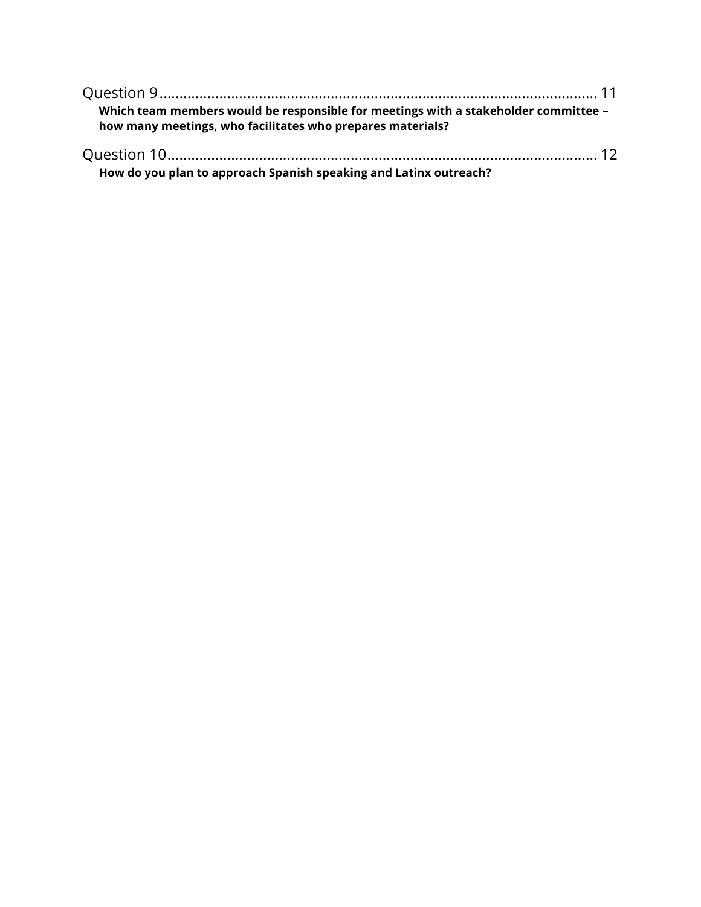| Which team members would be responsible for meetings with a stakeholder committee -<br>how many meetings, who facilitates who prepares materials? |  |
|---------------------------------------------------------------------------------------------------------------------------------------------------|--|
|                                                                                                                                                   |  |

**How do you plan to approach Spanish speaking and Latinx outreach?**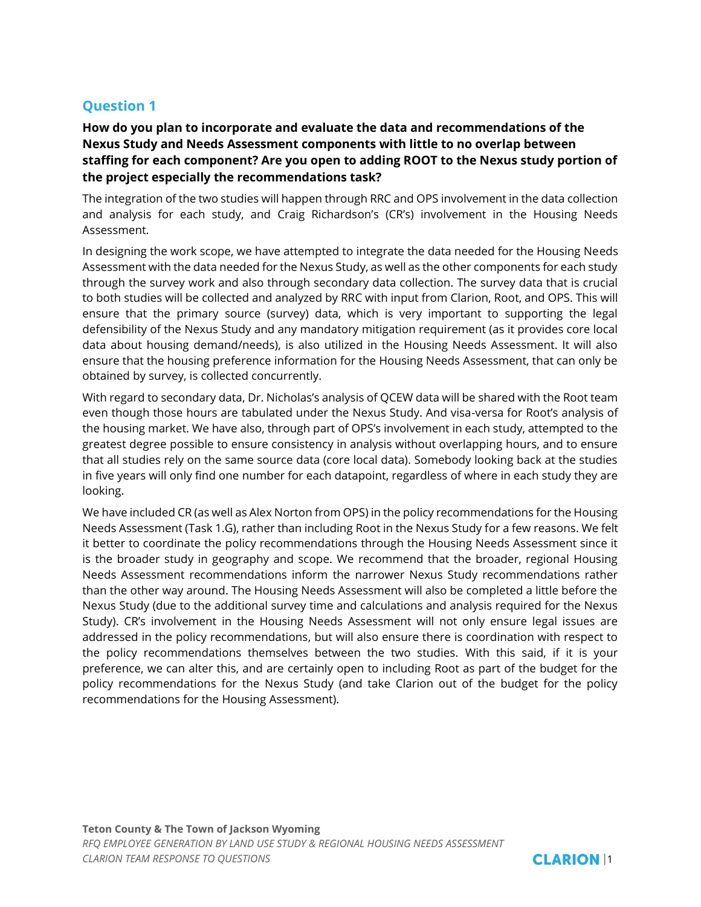## **How do you plan to incorporate and evaluate the data and recommendations of the Nexus Study and Needs Assessment components with little to no overlap between staffing for each component? Are you open to adding ROOT to the Nexus study portion of the project especially the recommendations task?**

The integration of the two studies will happen through RRC and OPS involvement in the data collection and analysis for each study, and Craig Richardson's (CR's) involvement in the Housing Needs Assessment.

In designing the work scope, we have attempted to integrate the data needed for the Housing Needs Assessment with the data needed for the Nexus Study, as well as the other components for each study through the survey work and also through secondary data collection. The survey data that is crucial to both studies will be collected and analyzed by RRC with input from Clarion, Root, and OPS. This will ensure that the primary source (survey) data, which is very important to supporting the legal defensibility of the Nexus Study and any mandatory mitigation requirement (as it provides core local data about housing demand/needs), is also utilized in the Housing Needs Assessment. It will also ensure that the housing preference information for the Housing Needs Assessment, that can only be obtained by survey, is collected concurrently.

With regard to secondary data, Dr. Nicholas's analysis of QCEW data will be shared with the Root team even though those hours are tabulated under the Nexus Study. And visa-versa for Root's analysis of the housing market. We have also, through part of OPS's involvement in each study, attempted to the greatest degree possible to ensure consistency in analysis without overlapping hours, and to ensure that all studies rely on the same source data (core local data). Somebody looking back at the studies in five years will only find one number for each datapoint, regardless of where in each study they are looking.

We have included CR (as well as Alex Norton from OPS) in the policy recommendations for the Housing Needs Assessment (Task 1.G), rather than including Root in the Nexus Study for a few reasons. We felt it better to coordinate the policy recommendations through the Housing Needs Assessment since it is the broader study in geography and scope. We recommend that the broader, regional Housing Needs Assessment recommendations inform the narrower Nexus Study recommendations rather than the other way around. The Housing Needs Assessment will also be completed a little before the Nexus Study (due to the additional survey time and calculations and analysis required for the Nexus Study). CR's involvement in the Housing Needs Assessment will not only ensure legal issues are addressed in the policy recommendations, but will also ensure there is coordination with respect to the policy recommendations themselves between the two studies. With this said, if it is your preference, we can alter this, and are certainly open to including Root as part of the budget for the policy recommendations for the Nexus Study (and take Clarion out of the budget for the policy recommendations for the Housing Assessment).

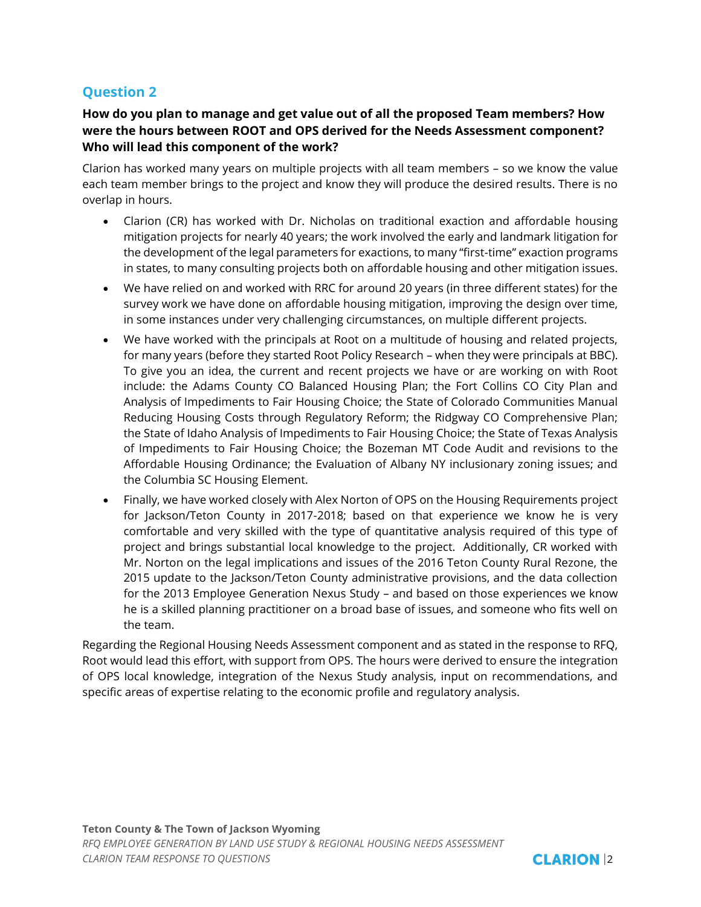#### **How do you plan to manage and get value out of all the proposed Team members? How were the hours between ROOT and OPS derived for the Needs Assessment component? Who will lead this component of the work?**

Clarion has worked many years on multiple projects with all team members – so we know the value each team member brings to the project and know they will produce the desired results. There is no overlap in hours.

- Clarion (CR) has worked with Dr. Nicholas on traditional exaction and affordable housing mitigation projects for nearly 40 years; the work involved the early and landmark litigation for the development of the legal parameters for exactions, to many "first-time" exaction programs in states, to many consulting projects both on affordable housing and other mitigation issues.
- We have relied on and worked with RRC for around 20 years (in three different states) for the survey work we have done on affordable housing mitigation, improving the design over time, in some instances under very challenging circumstances, on multiple different projects.
- We have worked with the principals at Root on a multitude of housing and related projects, for many years (before they started Root Policy Research – when they were principals at BBC). To give you an idea, the current and recent projects we have or are working on with Root include: the Adams County CO Balanced Housing Plan; the Fort Collins CO City Plan and Analysis of Impediments to Fair Housing Choice; the State of Colorado Communities Manual Reducing Housing Costs through Regulatory Reform; the Ridgway CO Comprehensive Plan; the State of Idaho Analysis of Impediments to Fair Housing Choice; the State of Texas Analysis of Impediments to Fair Housing Choice; the Bozeman MT Code Audit and revisions to the Affordable Housing Ordinance; the Evaluation of Albany NY inclusionary zoning issues; and the Columbia SC Housing Element.
- Finally, we have worked closely with Alex Norton of OPS on the Housing Requirements project for Jackson/Teton County in 2017-2018; based on that experience we know he is very comfortable and very skilled with the type of quantitative analysis required of this type of project and brings substantial local knowledge to the project. Additionally, CR worked with Mr. Norton on the legal implications and issues of the 2016 Teton County Rural Rezone, the 2015 update to the Jackson/Teton County administrative provisions, and the data collection for the 2013 Employee Generation Nexus Study – and based on those experiences we know he is a skilled planning practitioner on a broad base of issues, and someone who fits well on the team.

Regarding the Regional Housing Needs Assessment component and as stated in the response to RFQ, Root would lead this effort, with support from OPS. The hours were derived to ensure the integration of OPS local knowledge, integration of the Nexus Study analysis, input on recommendations, and specific areas of expertise relating to the economic profile and regulatory analysis.

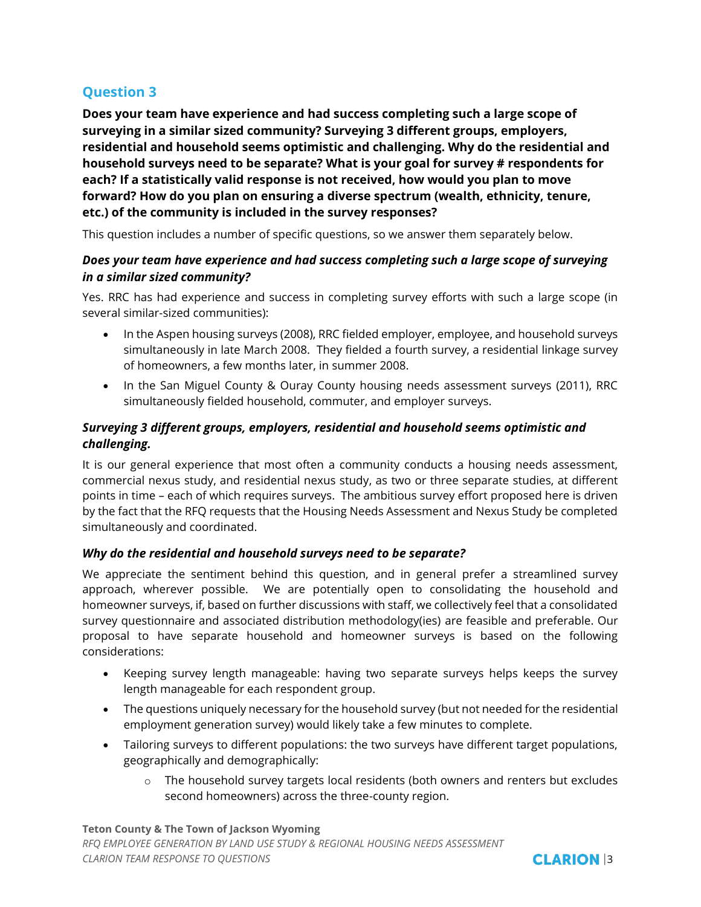**Does your team have experience and had success completing such a large scope of surveying in a similar sized community? Surveying 3 different groups, employers, residential and household seems optimistic and challenging. Why do the residential and household surveys need to be separate? What is your goal for survey # respondents for each? If a statistically valid response is not received, how would you plan to move forward? How do you plan on ensuring a diverse spectrum (wealth, ethnicity, tenure, etc.) of the community is included in the survey responses?**

This question includes a number of specific questions, so we answer them separately below.

## *Does your team have experience and had success completing such a large scope of surveying in a similar sized community?*

Yes. RRC has had experience and success in completing survey efforts with such a large scope (in several similar-sized communities):

- In the Aspen housing surveys (2008), RRC fielded employer, employee, and household surveys simultaneously in late March 2008. They fielded a fourth survey, a residential linkage survey of homeowners, a few months later, in summer 2008.
- In the San Miguel County & Ouray County housing needs assessment surveys (2011), RRC simultaneously fielded household, commuter, and employer surveys.

## *Surveying 3 different groups, employers, residential and household seems optimistic and challenging.*

It is our general experience that most often a community conducts a housing needs assessment, commercial nexus study, and residential nexus study, as two or three separate studies, at different points in time – each of which requires surveys. The ambitious survey effort proposed here is driven by the fact that the RFQ requests that the Housing Needs Assessment and Nexus Study be completed simultaneously and coordinated.

## *Why do the residential and household surveys need to be separate?*

We appreciate the sentiment behind this question, and in general prefer a streamlined survey approach, wherever possible. We are potentially open to consolidating the household and homeowner surveys, if, based on further discussions with staff, we collectively feel that a consolidated survey questionnaire and associated distribution methodology(ies) are feasible and preferable. Our proposal to have separate household and homeowner surveys is based on the following considerations:

- Keeping survey length manageable: having two separate surveys helps keeps the survey length manageable for each respondent group.
- The questions uniquely necessary for the household survey (but not needed for the residential employment generation survey) would likely take a few minutes to complete.
- Tailoring surveys to different populations: the two surveys have different target populations, geographically and demographically:
	- o The household survey targets local residents (both owners and renters but excludes second homeowners) across the three-county region.

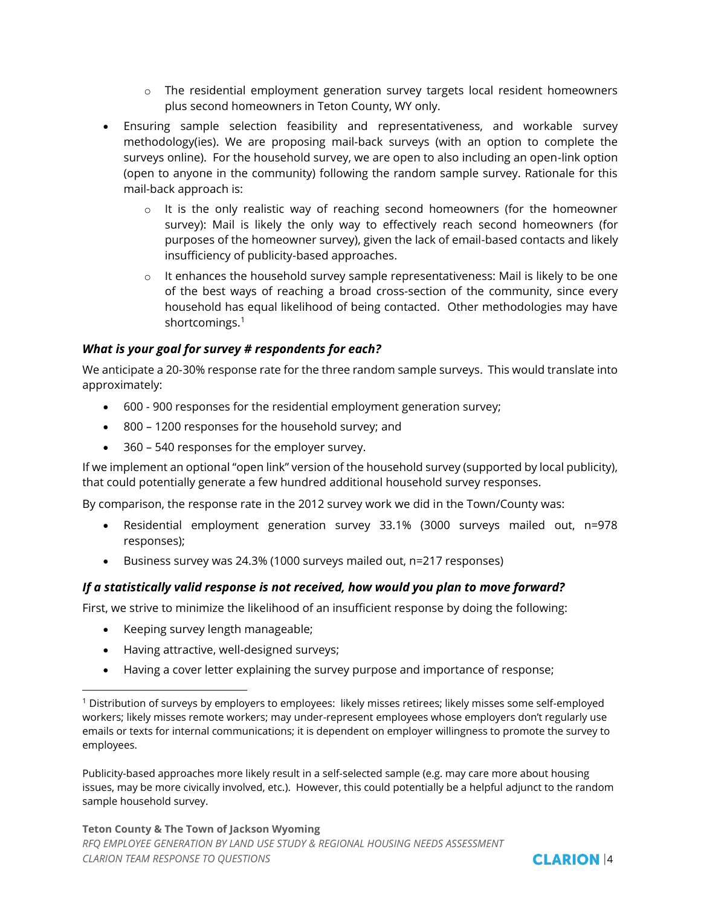- $\circ$  The residential employment generation survey targets local resident homeowners plus second homeowners in Teton County, WY only.
- Ensuring sample selection feasibility and representativeness, and workable survey methodology(ies). We are proposing mail-back surveys (with an option to complete the surveys online). For the household survey, we are open to also including an open-link option (open to anyone in the community) following the random sample survey. Rationale for this mail-back approach is:
	- $\circ$  It is the only realistic way of reaching second homeowners (for the homeowner survey): Mail is likely the only way to effectively reach second homeowners (for purposes of the homeowner survey), given the lack of email-based contacts and likely insufficiency of publicity-based approaches.
	- $\circ$  It enhances the household survey sample representativeness: Mail is likely to be one of the best ways of reaching a broad cross-section of the community, since every household has equal likelihood of being contacted. Other methodologies may have shortcomings.<sup>1</sup>

#### *What is your goal for survey # respondents for each?*

We anticipate a 20-30% response rate for the three random sample surveys. This would translate into approximately:

- 600 900 responses for the residential employment generation survey;
- 800 1200 responses for the household survey; and
- 360 540 responses for the employer survey.

If we implement an optional "open link" version of the household survey (supported by local publicity), that could potentially generate a few hundred additional household survey responses.

By comparison, the response rate in the 2012 survey work we did in the Town/County was:

- Residential employment generation survey 33.1% (3000 surveys mailed out, n=978 responses);
- Business survey was 24.3% (1000 surveys mailed out, n=217 responses)

#### *If a statistically valid response is not received, how would you plan to move forward?*

First, we strive to minimize the likelihood of an insufficient response by doing the following:

- Keeping survey length manageable;
- Having attractive, well-designed surveys;
- Having a cover letter explaining the survey purpose and importance of response;

Publicity-based approaches more likely result in a self-selected sample (e.g. may care more about housing issues, may be more civically involved, etc.). However, this could potentially be a helpful adjunct to the random sample household survey.



<sup>1</sup> Distribution of surveys by employers to employees: likely misses retirees; likely misses some self-employed workers; likely misses remote workers; may under-represent employees whose employers don't regularly use emails or texts for internal communications; it is dependent on employer willingness to promote the survey to employees.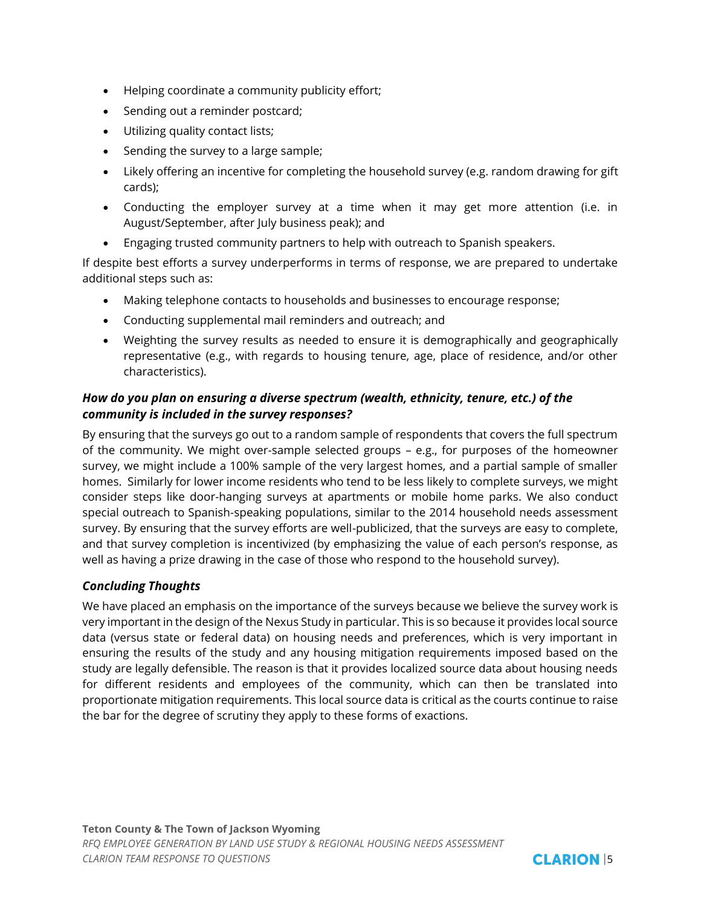- Helping coordinate a community publicity effort;
- Sending out a reminder postcard;
- Utilizing quality contact lists;
- Sending the survey to a large sample;
- Likely offering an incentive for completing the household survey (e.g. random drawing for gift cards);
- Conducting the employer survey at a time when it may get more attention (i.e. in August/September, after July business peak); and
- Engaging trusted community partners to help with outreach to Spanish speakers.

If despite best efforts a survey underperforms in terms of response, we are prepared to undertake additional steps such as:

- Making telephone contacts to households and businesses to encourage response;
- Conducting supplemental mail reminders and outreach; and
- Weighting the survey results as needed to ensure it is demographically and geographically representative (e.g., with regards to housing tenure, age, place of residence, and/or other characteristics).

#### *How do you plan on ensuring a diverse spectrum (wealth, ethnicity, tenure, etc.) of the community is included in the survey responses?*

By ensuring that the surveys go out to a random sample of respondents that covers the full spectrum of the community. We might over-sample selected groups – e.g., for purposes of the homeowner survey, we might include a 100% sample of the very largest homes, and a partial sample of smaller homes. Similarly for lower income residents who tend to be less likely to complete surveys, we might consider steps like door-hanging surveys at apartments or mobile home parks. We also conduct special outreach to Spanish-speaking populations, similar to the 2014 household needs assessment survey. By ensuring that the survey efforts are well-publicized, that the surveys are easy to complete, and that survey completion is incentivized (by emphasizing the value of each person's response, as well as having a prize drawing in the case of those who respond to the household survey).

## *Concluding Thoughts*

We have placed an emphasis on the importance of the surveys because we believe the survey work is very important in the design of the Nexus Study in particular. This is so because it provides local source data (versus state or federal data) on housing needs and preferences, which is very important in ensuring the results of the study and any housing mitigation requirements imposed based on the study are legally defensible. The reason is that it provides localized source data about housing needs for different residents and employees of the community, which can then be translated into proportionate mitigation requirements. This local source data is critical as the courts continue to raise the bar for the degree of scrutiny they apply to these forms of exactions.

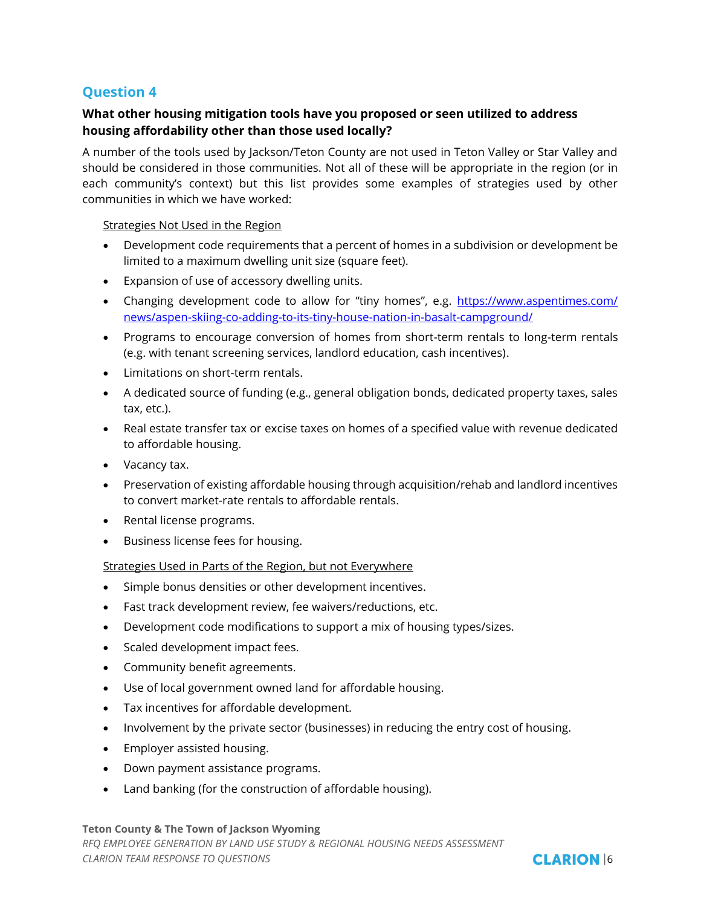#### **What other housing mitigation tools have you proposed or seen utilized to address housing affordability other than those used locally?**

A number of the tools used by Jackson/Teton County are not used in Teton Valley or Star Valley and should be considered in those communities. Not all of these will be appropriate in the region (or in each community's context) but this list provides some examples of strategies used by other communities in which we have worked:

Strategies Not Used in the Region

- Development code requirements that a percent of homes in a subdivision or development be limited to a maximum dwelling unit size (square feet).
- Expansion of use of accessory dwelling units.
- Changing development code to allow for "tiny homes", e.g. [https://www.aspentimes.com/](https://www.aspentimes.com/news/aspen-skiing-co-adding-to-its-tiny-house-nation-in-basalt-campground/) [news/aspen-skiing-co-adding-to-its-tiny-house-nation-in-basalt-campground/](https://www.aspentimes.com/news/aspen-skiing-co-adding-to-its-tiny-house-nation-in-basalt-campground/)
- Programs to encourage conversion of homes from short-term rentals to long-term rentals (e.g. with tenant screening services, landlord education, cash incentives).
- Limitations on short-term rentals.
- A dedicated source of funding (e.g., general obligation bonds, dedicated property taxes, sales tax, etc.).
- Real estate transfer tax or excise taxes on homes of a specified value with revenue dedicated to affordable housing.
- Vacancy tax.
- Preservation of existing affordable housing through acquisition/rehab and landlord incentives to convert market-rate rentals to affordable rentals.
- Rental license programs.
- Business license fees for housing.

#### Strategies Used in Parts of the Region, but not Everywhere

- Simple bonus densities or other development incentives.
- Fast track development review, fee waivers/reductions, etc.
- Development code modifications to support a mix of housing types/sizes.
- Scaled development impact fees.
- Community benefit agreements.
- Use of local government owned land for affordable housing.
- Tax incentives for affordable development.
- Involvement by the private sector (businesses) in reducing the entry cost of housing.
- Employer assisted housing.
- Down payment assistance programs.
- Land banking (for the construction of affordable housing).

**Teton County & The Town of Jackson Wyoming**  *RFQ EMPLOYEE GENERATION BY LAND USE STUDY & REGIONAL HOUSING NEEDS ASSESSMENT CLARION TEAM RESPONSE TO OUESTIONS CLARION 16* 

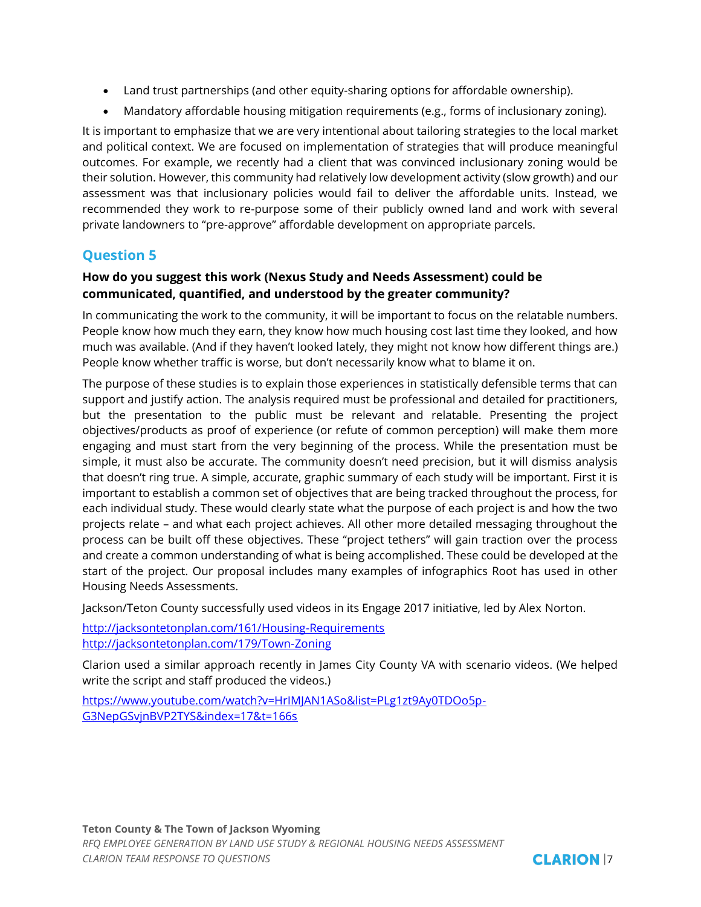- Land trust partnerships (and other equity-sharing options for affordable ownership).
- Mandatory affordable housing mitigation requirements (e.g., forms of inclusionary zoning).

It is important to emphasize that we are very intentional about tailoring strategies to the local market and political context. We are focused on implementation of strategies that will produce meaningful outcomes. For example, we recently had a client that was convinced inclusionary zoning would be their solution. However, this community had relatively low development activity (slow growth) and our assessment was that inclusionary policies would fail to deliver the affordable units. Instead, we recommended they work to re-purpose some of their publicly owned land and work with several private landowners to "pre-approve" affordable development on appropriate parcels.

# **Question 5**

## **How do you suggest this work (Nexus Study and Needs Assessment) could be communicated, quantified, and understood by the greater community?**

In communicating the work to the community, it will be important to focus on the relatable numbers. People know how much they earn, they know how much housing cost last time they looked, and how much was available. (And if they haven't looked lately, they might not know how different things are.) People know whether traffic is worse, but don't necessarily know what to blame it on.

The purpose of these studies is to explain those experiences in statistically defensible terms that can support and justify action. The analysis required must be professional and detailed for practitioners, but the presentation to the public must be relevant and relatable. Presenting the project objectives/products as proof of experience (or refute of common perception) will make them more engaging and must start from the very beginning of the process. While the presentation must be simple, it must also be accurate. The community doesn't need precision, but it will dismiss analysis that doesn't ring true. A simple, accurate, graphic summary of each study will be important. First it is important to establish a common set of objectives that are being tracked throughout the process, for each individual study. These would clearly state what the purpose of each project is and how the two projects relate – and what each project achieves. All other more detailed messaging throughout the process can be built off these objectives. These "project tethers" will gain traction over the process and create a common understanding of what is being accomplished. These could be developed at the start of the project. Our proposal includes many examples of infographics Root has used in other Housing Needs Assessments.

Jackson/Teton County successfully used videos in its Engage 2017 initiative, led by Alex Norton.

<http://jacksontetonplan.com/161/Housing-Requirements> <http://jacksontetonplan.com/179/Town-Zoning>

Clarion used a similar approach recently in James City County VA with scenario videos. (We helped write the script and staff produced the videos.)

[https://www.youtube.com/watch?v=HrIMJAN1ASo&list=PLg1zt9Ay0TDOo5p-](https://www.youtube.com/watch?v=HrIMJAN1ASo&list=PLg1zt9Ay0TDOo5p-G3NepGSvjnBVP2TYS&index=17&t=166s)[G3NepGSvjnBVP2TYS&index=17&t=166s](https://www.youtube.com/watch?v=HrIMJAN1ASo&list=PLg1zt9Ay0TDOo5p-G3NepGSvjnBVP2TYS&index=17&t=166s)

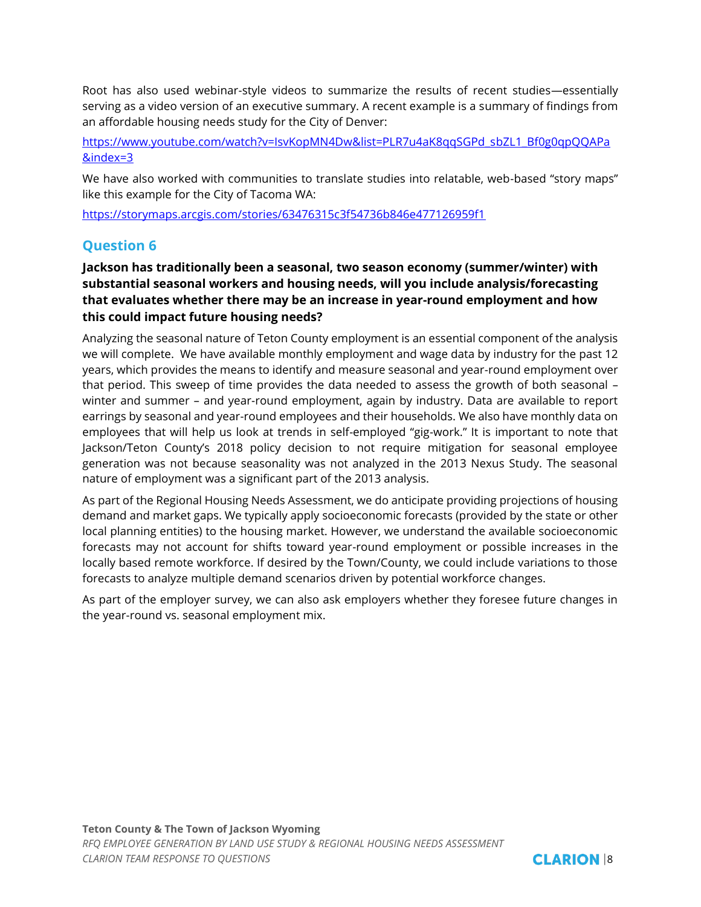Root has also used webinar-style videos to summarize the results of recent studies—essentially serving as a video version of an executive summary. A recent example is a summary of findings from an affordable housing needs study for the City of Denver:

[https://www.youtube.com/watch?v=IsvKopMN4Dw&list=PLR7u4aK8qqSGPd\\_sbZL1\\_Bf0g0qpQQAPa](https://www.youtube.com/watch?v=IsvKopMN4Dw&list=PLR7u4aK8qqSGPd_sbZL1_Bf0g0qpQQAPa&index=3) [&index=3](https://www.youtube.com/watch?v=IsvKopMN4Dw&list=PLR7u4aK8qqSGPd_sbZL1_Bf0g0qpQQAPa&index=3)

We have also worked with communities to translate studies into relatable, web-based "story maps" like this example for the City of Tacoma WA:

<https://storymaps.arcgis.com/stories/63476315c3f54736b846e477126959f1>

# **Question 6**

## **Jackson has traditionally been a seasonal, two season economy (summer/winter) with substantial seasonal workers and housing needs, will you include analysis/forecasting that evaluates whether there may be an increase in year-round employment and how this could impact future housing needs?**

Analyzing the seasonal nature of Teton County employment is an essential component of the analysis we will complete. We have available monthly employment and wage data by industry for the past 12 years, which provides the means to identify and measure seasonal and year-round employment over that period. This sweep of time provides the data needed to assess the growth of both seasonal – winter and summer – and year-round employment, again by industry. Data are available to report earrings by seasonal and year-round employees and their households. We also have monthly data on employees that will help us look at trends in self-employed "gig-work." It is important to note that Jackson/Teton County's 2018 policy decision to not require mitigation for seasonal employee generation was not because seasonality was not analyzed in the 2013 Nexus Study. The seasonal nature of employment was a significant part of the 2013 analysis.

As part of the Regional Housing Needs Assessment, we do anticipate providing projections of housing demand and market gaps. We typically apply socioeconomic forecasts (provided by the state or other local planning entities) to the housing market. However, we understand the available socioeconomic forecasts may not account for shifts toward year-round employment or possible increases in the locally based remote workforce. If desired by the Town/County, we could include variations to those forecasts to analyze multiple demand scenarios driven by potential workforce changes.

As part of the employer survey, we can also ask employers whether they foresee future changes in the year-round vs. seasonal employment mix.

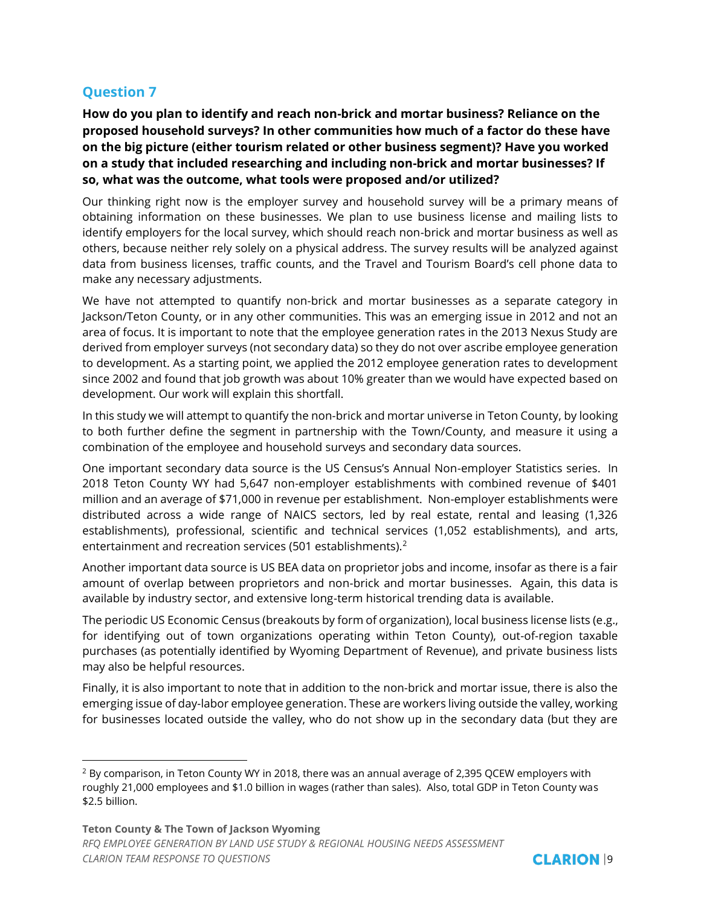**How do you plan to identify and reach non-brick and mortar business? Reliance on the proposed household surveys? In other communities how much of a factor do these have on the big picture (either tourism related or other business segment)? Have you worked on a study that included researching and including non-brick and mortar businesses? If so, what was the outcome, what tools were proposed and/or utilized?**

Our thinking right now is the employer survey and household survey will be a primary means of obtaining information on these businesses. We plan to use business license and mailing lists to identify employers for the local survey, which should reach non-brick and mortar business as well as others, because neither rely solely on a physical address. The survey results will be analyzed against data from business licenses, traffic counts, and the Travel and Tourism Board's cell phone data to make any necessary adjustments.

We have not attempted to quantify non-brick and mortar businesses as a separate category in Jackson/Teton County, or in any other communities. This was an emerging issue in 2012 and not an area of focus. It is important to note that the employee generation rates in the 2013 Nexus Study are derived from employer surveys (not secondary data) so they do not over ascribe employee generation to development. As a starting point, we applied the 2012 employee generation rates to development since 2002 and found that job growth was about 10% greater than we would have expected based on development. Our work will explain this shortfall.

In this study we will attempt to quantify the non-brick and mortar universe in Teton County, by looking to both further define the segment in partnership with the Town/County, and measure it using a combination of the employee and household surveys and secondary data sources.

One important secondary data source is the US Census's Annual Non-employer Statistics series. In 2018 Teton County WY had 5,647 non-employer establishments with combined revenue of \$401 million and an average of \$71,000 in revenue per establishment. Non-employer establishments were distributed across a wide range of NAICS sectors, led by real estate, rental and leasing (1,326 establishments), professional, scientific and technical services (1,052 establishments), and arts, entertainment and recreation services (501 establishments).<sup>2</sup>

Another important data source is US BEA data on proprietor jobs and income, insofar as there is a fair amount of overlap between proprietors and non-brick and mortar businesses. Again, this data is available by industry sector, and extensive long-term historical trending data is available.

The periodic US Economic Census (breakouts by form of organization), local business license lists (e.g., for identifying out of town organizations operating within Teton County), out-of-region taxable purchases (as potentially identified by Wyoming Department of Revenue), and private business lists may also be helpful resources.

Finally, it is also important to note that in addition to the non-brick and mortar issue, there is also the emerging issue of day-labor employee generation. These are workers living outside the valley, working for businesses located outside the valley, who do not show up in the secondary data (but they are



<sup>2</sup> By comparison, in Teton County WY in 2018, there was an annual average of 2,395 QCEW employers with roughly 21,000 employees and \$1.0 billion in wages (rather than sales). Also, total GDP in Teton County was \$2.5 billion.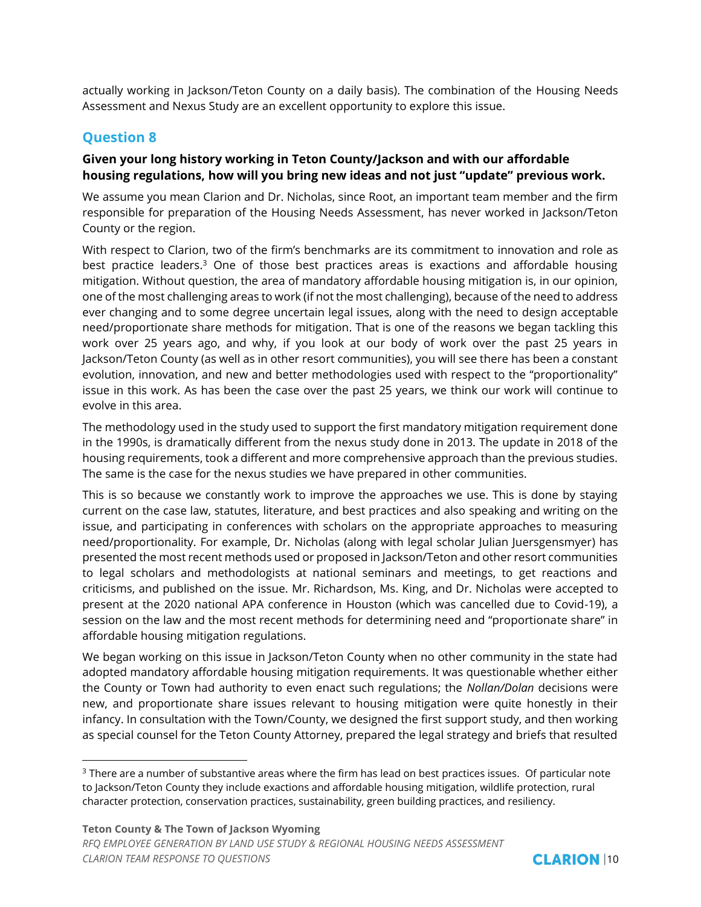actually working in Jackson/Teton County on a daily basis). The combination of the Housing Needs Assessment and Nexus Study are an excellent opportunity to explore this issue.

#### **Question 8**

#### **Given your long history working in Teton County/Jackson and with our affordable housing regulations, how will you bring new ideas and not just "update" previous work.**

We assume you mean Clarion and Dr. Nicholas, since Root, an important team member and the firm responsible for preparation of the Housing Needs Assessment, has never worked in Jackson/Teton County or the region.

With respect to Clarion, two of the firm's benchmarks are its commitment to innovation and role as best practice leaders. <sup>3</sup> One of those best practices areas is exactions and affordable housing mitigation. Without question, the area of mandatory affordable housing mitigation is, in our opinion, one of the most challenging areas to work (if not the most challenging), because of the need to address ever changing and to some degree uncertain legal issues, along with the need to design acceptable need/proportionate share methods for mitigation. That is one of the reasons we began tackling this work over 25 years ago, and why, if you look at our body of work over the past 25 years in Jackson/Teton County (as well as in other resort communities), you will see there has been a constant evolution, innovation, and new and better methodologies used with respect to the "proportionality" issue in this work. As has been the case over the past 25 years, we think our work will continue to evolve in this area.

The methodology used in the study used to support the first mandatory mitigation requirement done in the 1990s, is dramatically different from the nexus study done in 2013. The update in 2018 of the housing requirements, took a different and more comprehensive approach than the previous studies. The same is the case for the nexus studies we have prepared in other communities.

This is so because we constantly work to improve the approaches we use. This is done by staying current on the case law, statutes, literature, and best practices and also speaking and writing on the issue, and participating in conferences with scholars on the appropriate approaches to measuring need/proportionality. For example, Dr. Nicholas (along with legal scholar Julian Juersgensmyer) has presented the most recent methods used or proposed in Jackson/Teton and other resort communities to legal scholars and methodologists at national seminars and meetings, to get reactions and criticisms, and published on the issue. Mr. Richardson, Ms. King, and Dr. Nicholas were accepted to present at the 2020 national APA conference in Houston (which was cancelled due to Covid-19), a session on the law and the most recent methods for determining need and "proportionate share" in affordable housing mitigation regulations.

We began working on this issue in Jackson/Teton County when no other community in the state had adopted mandatory affordable housing mitigation requirements. It was questionable whether either the County or Town had authority to even enact such regulations; the *Nollan/Dolan* decisions were new, and proportionate share issues relevant to housing mitigation were quite honestly in their infancy. In consultation with the Town/County, we designed the first support study, and then working as special counsel for the Teton County Attorney, prepared the legal strategy and briefs that resulted



<sup>&</sup>lt;sup>3</sup> There are a number of substantive areas where the firm has lead on best practices issues. Of particular note to Jackson/Teton County they include exactions and affordable housing mitigation, wildlife protection, rural character protection, conservation practices, sustainability, green building practices, and resiliency.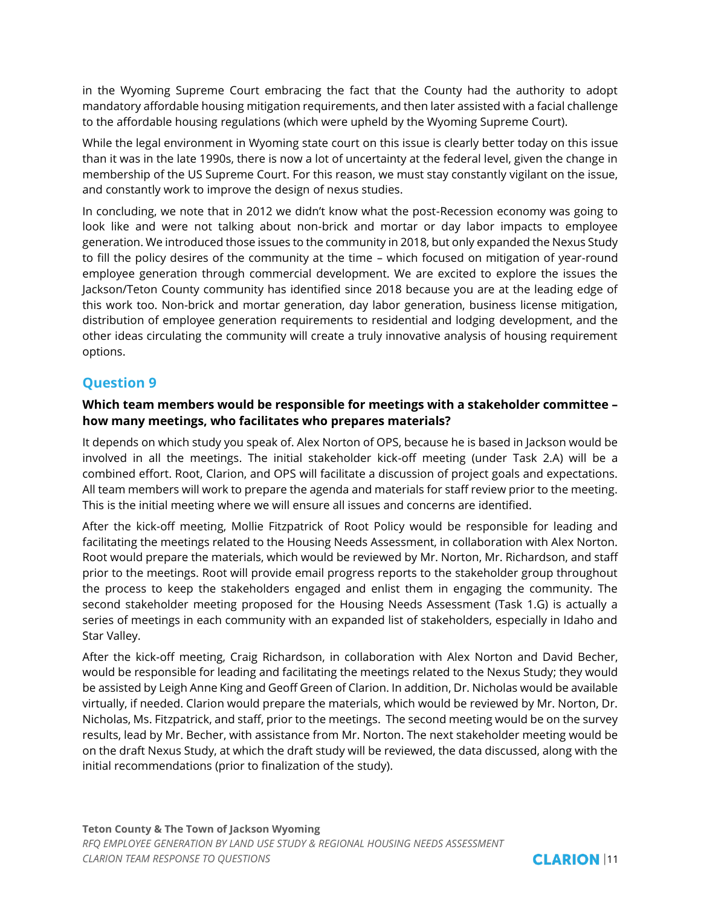in the Wyoming Supreme Court embracing the fact that the County had the authority to adopt mandatory affordable housing mitigation requirements, and then later assisted with a facial challenge to the affordable housing regulations (which were upheld by the Wyoming Supreme Court).

While the legal environment in Wyoming state court on this issue is clearly better today on this issue than it was in the late 1990s, there is now a lot of uncertainty at the federal level, given the change in membership of the US Supreme Court. For this reason, we must stay constantly vigilant on the issue, and constantly work to improve the design of nexus studies.

In concluding, we note that in 2012 we didn't know what the post-Recession economy was going to look like and were not talking about non-brick and mortar or day labor impacts to employee generation. We introduced those issues to the community in 2018, but only expanded the Nexus Study to fill the policy desires of the community at the time – which focused on mitigation of year-round employee generation through commercial development. We are excited to explore the issues the Jackson/Teton County community has identified since 2018 because you are at the leading edge of this work too. Non-brick and mortar generation, day labor generation, business license mitigation, distribution of employee generation requirements to residential and lodging development, and the other ideas circulating the community will create a truly innovative analysis of housing requirement options.

# **Question 9**

#### **Which team members would be responsible for meetings with a stakeholder committee – how many meetings, who facilitates who prepares materials?**

It depends on which study you speak of. Alex Norton of OPS, because he is based in Jackson would be involved in all the meetings. The initial stakeholder kick-off meeting (under Task 2.A) will be a combined effort. Root, Clarion, and OPS will facilitate a discussion of project goals and expectations. All team members will work to prepare the agenda and materials for staff review prior to the meeting. This is the initial meeting where we will ensure all issues and concerns are identified.

After the kick-off meeting, Mollie Fitzpatrick of Root Policy would be responsible for leading and facilitating the meetings related to the Housing Needs Assessment, in collaboration with Alex Norton. Root would prepare the materials, which would be reviewed by Mr. Norton, Mr. Richardson, and staff prior to the meetings. Root will provide email progress reports to the stakeholder group throughout the process to keep the stakeholders engaged and enlist them in engaging the community. The second stakeholder meeting proposed for the Housing Needs Assessment (Task 1.G) is actually a series of meetings in each community with an expanded list of stakeholders, especially in Idaho and Star Valley.

After the kick-off meeting, Craig Richardson, in collaboration with Alex Norton and David Becher, would be responsible for leading and facilitating the meetings related to the Nexus Study; they would be assisted by Leigh Anne King and Geoff Green of Clarion. In addition, Dr. Nicholas would be available virtually, if needed. Clarion would prepare the materials, which would be reviewed by Mr. Norton, Dr. Nicholas, Ms. Fitzpatrick, and staff, prior to the meetings. The second meeting would be on the survey results, lead by Mr. Becher, with assistance from Mr. Norton. The next stakeholder meeting would be on the draft Nexus Study, at which the draft study will be reviewed, the data discussed, along with the initial recommendations (prior to finalization of the study).